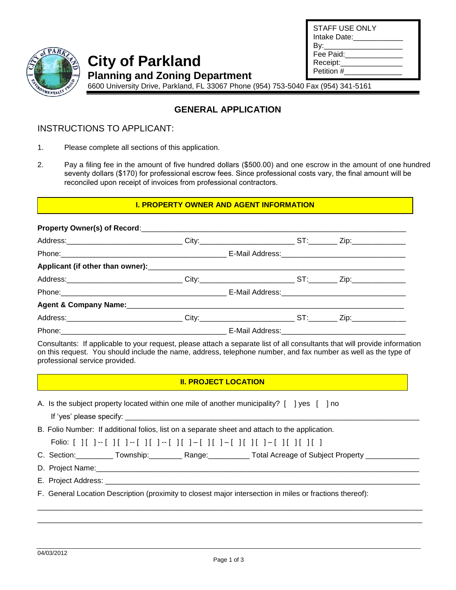| STAFF USE ONLY<br>Intake Date: |  |
|--------------------------------|--|
| By:_________________           |  |
| Fee Paid:                      |  |
| Receipt:                       |  |
| Petition #                     |  |



# **City of Parkland**

**Planning and Zoning Department** 

6600 University Drive, Parkland, FL 33067 Phone (954) 753-5040 Fax (954) 341-5161

# **GENERAL APPLICATION**

### INSTRUCTIONS TO APPLICANT:

- 1. Please complete all sections of this application.
- 2. Pay a filing fee in the amount of five hundred dollars (\$500.00) and one escrow in the amount of one hundred seventy dollars (\$170) for professional escrow fees. Since professional costs vary, the final amount will be reconciled upon receipt of invoices from professional contractors.

#### **I. PROPERTY OWNER AND AGENT INFORMATION**

| Agent & Company Name: 1980 Manual Company Name: 1980 Manual Company Agent & Company Name: 1980 Manual Company |  |  |
|---------------------------------------------------------------------------------------------------------------|--|--|
|                                                                                                               |  |  |
|                                                                                                               |  |  |

Consultants: If applicable to your request, please attach a separate list of all consultants that will provide information on this request. You should include the name, address, telephone number, and fax number as well as the type of professional service provided.

#### **II. PROJECT LOCATION**

- A. Is the subject property located within one mile of another municipality? [ ] yes [ ] no
	- If 'yes' please specify:
- B. Folio Number: If additional folios, list on a separate sheet and attach to the application.

C. Section: \_\_\_\_\_\_\_\_\_ Township: \_\_\_\_\_\_\_\_ Range: \_\_\_\_\_\_\_\_\_\_ Total Acreage of Subject Property \_\_\_\_\_\_\_\_\_\_\_

- D. Project Name:
- E. Project Address:
- F. General Location Description (proximity to closest major intersection in miles or fractions thereof):

\_\_\_\_\_\_\_\_\_\_\_\_\_\_\_\_\_\_\_\_\_\_\_\_\_\_\_\_\_\_\_\_\_\_\_\_\_\_\_\_\_\_\_\_\_\_\_\_\_\_\_\_\_\_\_\_\_\_\_\_\_\_\_\_\_\_\_\_\_\_\_\_\_\_\_\_\_\_\_\_\_\_\_\_\_\_\_\_\_\_\_\_\_ \_\_\_\_\_\_\_\_\_\_\_\_\_\_\_\_\_\_\_\_\_\_\_\_\_\_\_\_\_\_\_\_\_\_\_\_\_\_\_\_\_\_\_\_\_\_\_\_\_\_\_\_\_\_\_\_\_\_\_\_\_\_\_\_\_\_\_\_\_\_\_\_\_\_\_\_\_\_\_\_\_\_\_\_\_\_\_\_\_\_\_\_\_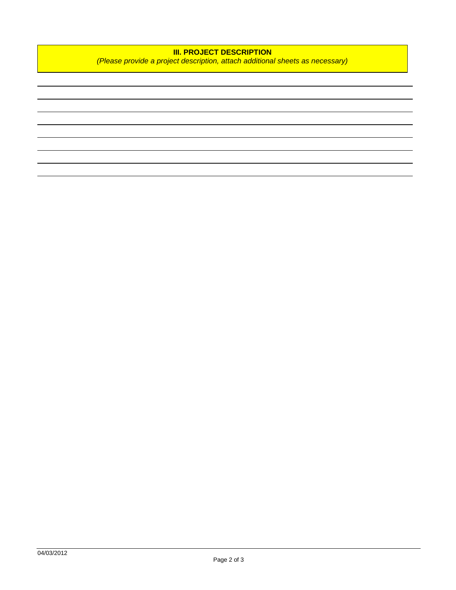## **III. PROJECT DESCRIPTION**

*(Please provide a project description, attach additional sheets as necessary)*